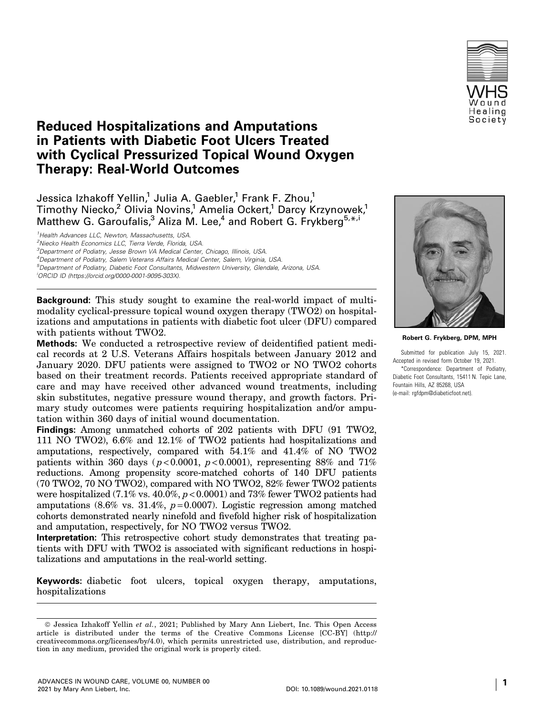

# Reduced Hospitalizations and Amputations in Patients with Diabetic Foot Ulcers Treated with Cyclical Pressurized Topical Wound Oxygen Therapy: Real-World Outcomes

Jessica Izhakoff Yellin,<sup>1</sup> Julia A. Gaebler,<sup>1</sup> Frank F. Zhou,<sup>1</sup> Timothy Niecko,<sup>2</sup> Olivia Novins,<sup>1</sup> Amelia Ockert,<sup>1</sup> Darcy Krzynowek,<sup>1</sup> Matthew G. Garoufalis,<sup>3</sup> Aliza M. Lee,<sup>4</sup> and Robert G. Frykberg<sup>5,\*,i</sup>

<sup>1</sup> Health Advances LLC, Newton, Massachusetts, USA.

<sup>2</sup>Niecko Health Economics LLC, Tierra Verde, Florida, USA.

<sup>3</sup>Department of Podiatry, Jesse Brown VA Medical Center, Chicago, Illinois, USA.

4 Department of Podiatry, Salem Veterans Affairs Medical Center, Salem, Virginia, USA. 5 Department of Podiatry, Diabetic Foot Consultants, Midwestern University, Glendale, Arizona, USA.

i ORCID ID [\(https://orcid.org/0000-0001-9095-303X\)](https://orcid.org/0000-0001-9095-303X).

**Background:** This study sought to examine the real-world impact of multimodality cyclical-pressure topical wound oxygen therapy (TWO2) on hospitalizations and amputations in patients with diabetic foot ulcer (DFU) compared with patients without TWO2.

**Methods:** We conducted a retrospective review of deidentified patient medical records at 2 U.S. Veterans Affairs hospitals between January 2012 and January 2020. DFU patients were assigned to TWO2 or NO TWO2 cohorts based on their treatment records. Patients received appropriate standard of care and may have received other advanced wound treatments, including skin substitutes, negative pressure wound therapy, and growth factors. Primary study outcomes were patients requiring hospitalization and/or amputation within 360 days of initial wound documentation.

**Findings:** Among unmatched cohorts of 202 patients with DFU (91 TWO2, 111 NO TWO2), 6.6% and 12.1% of TWO2 patients had hospitalizations and amputations, respectively, compared with 54.1% and 41.4% of NO TWO2 patients within 360 days ( $p < 0.0001$ ,  $p < 0.0001$ ), representing 88% and 71% reductions. Among propensity score-matched cohorts of 140 DFU patients (70 TWO2, 70 NO TWO2), compared with NO TWO2, 82% fewer TWO2 patients were hospitalized (7.1% vs.  $40.0\%$ ,  $p < 0.0001$ ) and 73% fewer TWO2 patients had amputations  $(8.6\% \text{ vs. } 31.4\%, p=0.0007)$ . Logistic regression among matched cohorts demonstrated nearly ninefold and fivefold higher risk of hospitalization and amputation, respectively, for NO TWO2 versus TWO2.

**Interpretation:** This retrospective cohort study demonstrates that treating patients with DFU with TWO2 is associated with significant reductions in hospitalizations and amputations in the real-world setting.

**Keywords:** diabetic foot ulcers, topical oxygen therapy, amputations, hospitalizations



**Robert G. Frykberg, DPM, MPH**

Submitted for publication July 15, 2021. Accepted in revised form October 19, 2021.

\*Correspondence: Department of Podiatry, Diabetic Foot Consultants, 15411 N. Tepic Lane, Fountain Hills, AZ 85268, USA (e-mail: rgfdpm@diabeticfoot.net).

<sup>©</sup> Jessica Izhakoff Yellin et al., 2021; Published by Mary Ann Liebert, Inc. This Open Access article is distributed under the terms of the Creative Commons License [CC-BY] [\(http://](http://creativecommons.org/licenses/by/4.0) [creativecommons.org/licenses/by/4.0](http://creativecommons.org/licenses/by/4.0)), which permits unrestricted use, distribution, and reproduction in any medium, provided the original work is properly cited.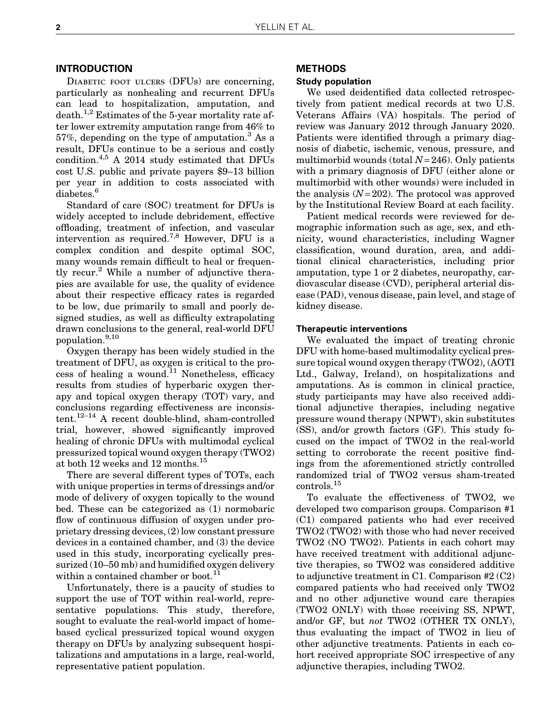# INTRODUCTION

DIABETIC FOOT ULCERS (DFUs) are concerning, particularly as nonhealing and recurrent DFUs can lead to hospitalization, amputation, and  $death.<sup>1,2</sup>$  Estimates of the 5-year mortality rate after lower extremity amputation range from 46% to  $57\%$ , depending on the type of amputation.<sup>3</sup> As a result, DFUs continue to be a serious and costly condition.4,5 A 2014 study estimated that DFUs cost U.S. public and private payers \$9–13 billion per year in addition to costs associated with diabetes.<sup>6</sup>

Standard of care (SOC) treatment for DFUs is widely accepted to include debridement, effective offloading, treatment of infection, and vascular intervention as required.7,8 However, DFU is a complex condition and despite optimal SOC, many wounds remain difficult to heal or frequently recur.<sup>2</sup> While a number of adjunctive therapies are available for use, the quality of evidence about their respective efficacy rates is regarded to be low, due primarily to small and poorly designed studies, as well as difficulty extrapolating drawn conclusions to the general, real-world DFU population.9,10

Oxygen therapy has been widely studied in the treatment of DFU, as oxygen is critical to the process of healing a wound. $11$  Nonetheless, efficacy results from studies of hyperbaric oxygen therapy and topical oxygen therapy (TOT) vary, and conclusions regarding effectiveness are inconsistent.12–14 A recent double-blind, sham-controlled trial, however, showed significantly improved healing of chronic DFUs with multimodal cyclical pressurized topical wound oxygen therapy (TWO2) at both 12 weeks and 12 months.<sup>15</sup>

There are several different types of TOTs, each with unique properties in terms of dressings and/or mode of delivery of oxygen topically to the wound bed. These can be categorized as (1) normobaric flow of continuous diffusion of oxygen under proprietary dressing devices, (2) low constant pressure devices in a contained chamber, and (3) the device used in this study, incorporating cyclically pressurized (10–50 mb) and humidified oxygen delivery within a contained chamber or boot.<sup>11</sup>

Unfortunately, there is a paucity of studies to support the use of TOT within real-world, representative populations. This study, therefore, sought to evaluate the real-world impact of homebased cyclical pressurized topical wound oxygen therapy on DFUs by analyzing subsequent hospitalizations and amputations in a large, real-world, representative patient population.

# METHODS

#### Study population

We used deidentified data collected retrospectively from patient medical records at two U.S. Veterans Affairs (VA) hospitals. The period of review was January 2012 through January 2020. Patients were identified through a primary diagnosis of diabetic, ischemic, venous, pressure, and multimorbid wounds (total  $N = 246$ ). Only patients with a primary diagnosis of DFU (either alone or multimorbid with other wounds) were included in the analysis  $(N=202)$ . The protocol was approved by the Institutional Review Board at each facility.

Patient medical records were reviewed for demographic information such as age, sex, and ethnicity, wound characteristics, including Wagner classification, wound duration, area, and additional clinical characteristics, including prior amputation, type 1 or 2 diabetes, neuropathy, cardiovascular disease (CVD), peripheral arterial disease (PAD), venous disease, pain level, and stage of kidney disease.

#### Therapeutic interventions

We evaluated the impact of treating chronic DFU with home-based multimodality cyclical pressure topical wound oxygen therapy (TWO2), (AOTI Ltd., Galway, Ireland), on hospitalizations and amputations. As is common in clinical practice, study participants may have also received additional adjunctive therapies, including negative pressure wound therapy (NPWT), skin substitutes (SS), and/or growth factors (GF). This study focused on the impact of TWO2 in the real-world setting to corroborate the recent positive findings from the aforementioned strictly controlled randomized trial of TWO2 versus sham-treated controls.<sup>15</sup>

To evaluate the effectiveness of TWO2, we developed two comparison groups. Comparison #1 (C1) compared patients who had ever received TWO2 (TWO2) with those who had never received TWO2 (NO TWO2). Patients in each cohort may have received treatment with additional adjunctive therapies, so TWO2 was considered additive to adjunctive treatment in C1. Comparison #2 (C2) compared patients who had received only TWO2 and no other adjunctive wound care therapies (TWO2 ONLY) with those receiving SS, NPWT, and/or GF, but not TWO2 (OTHER TX ONLY), thus evaluating the impact of TWO2 in lieu of other adjunctive treatments. Patients in each cohort received appropriate SOC irrespective of any adjunctive therapies, including TWO2.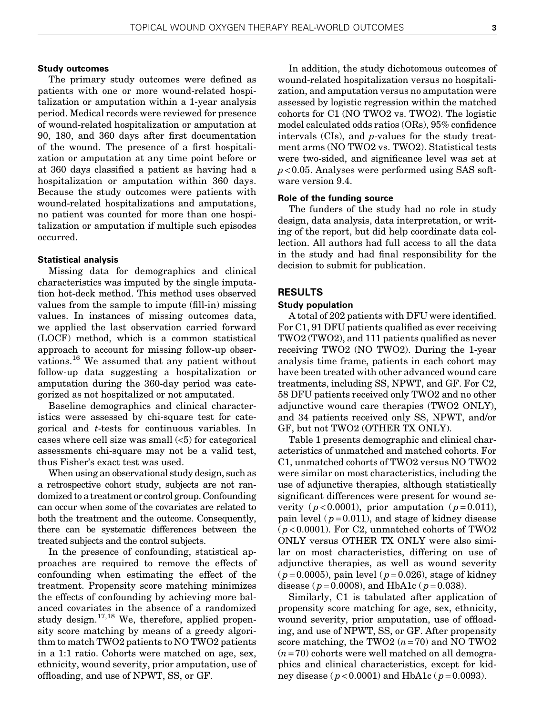#### Study outcomes

The primary study outcomes were defined as patients with one or more wound-related hospitalization or amputation within a 1-year analysis period. Medical records were reviewed for presence of wound-related hospitalization or amputation at 90, 180, and 360 days after first documentation of the wound. The presence of a first hospitalization or amputation at any time point before or at 360 days classified a patient as having had a hospitalization or amputation within 360 days. Because the study outcomes were patients with wound-related hospitalizations and amputations, no patient was counted for more than one hospitalization or amputation if multiple such episodes occurred.

#### Statistical analysis

Missing data for demographics and clinical characteristics was imputed by the single imputation hot-deck method. This method uses observed values from the sample to impute (fill-in) missing values. In instances of missing outcomes data, we applied the last observation carried forward (LOCF) method, which is a common statistical approach to account for missing follow-up observations.16 We assumed that any patient without follow-up data suggesting a hospitalization or amputation during the 360-day period was categorized as not hospitalized or not amputated.

Baseline demographics and clinical characteristics were assessed by chi-square test for categorical and t-tests for continuous variables. In cases where cell size was small  $(5)$  for categorical assessments chi-square may not be a valid test, thus Fisher's exact test was used.

When using an observational study design, such as a retrospective cohort study, subjects are not randomized to a treatment or control group. Confounding can occur when some of the covariates are related to both the treatment and the outcome. Consequently, there can be systematic differences between the treated subjects and the control subjects.

In the presence of confounding, statistical approaches are required to remove the effects of confounding when estimating the effect of the treatment. Propensity score matching minimizes the effects of confounding by achieving more balanced covariates in the absence of a randomized study design.<sup>17,18</sup> We, therefore, applied propensity score matching by means of a greedy algorithm to match TWO2 patients to NO TWO2 patients in a 1:1 ratio. Cohorts were matched on age, sex, ethnicity, wound severity, prior amputation, use of offloading, and use of NPWT, SS, or GF.

In addition, the study dichotomous outcomes of wound-related hospitalization versus no hospitalization, and amputation versus no amputation were assessed by logistic regression within the matched cohorts for C1 (NO TWO2 vs. TWO2). The logistic model calculated odds ratios (ORs), 95% confidence intervals (CIs), and p-values for the study treatment arms (NO TWO2 vs. TWO2). Statistical tests were two-sided, and significance level was set at  $p < 0.05$ . Analyses were performed using SAS software version 9.4.

# Role of the funding source

The funders of the study had no role in study design, data analysis, data interpretation, or writing of the report, but did help coordinate data collection. All authors had full access to all the data in the study and had final responsibility for the decision to submit for publication.

## RESULTS

## Study population

A total of 202 patients with DFU were identified. For C1, 91 DFU patients qualified as ever receiving TWO2 (TWO2), and 111 patients qualified as never receiving TWO2 (NO TWO2). During the 1-year analysis time frame, patients in each cohort may have been treated with other advanced wound care treatments, including SS, NPWT, and GF. For C2, 58 DFU patients received only TWO2 and no other adjunctive wound care therapies (TWO2 ONLY), and 34 patients received only SS, NPWT, and/or GF, but not TWO2 (OTHER TX ONLY).

Table 1 presents demographic and clinical characteristics of unmatched and matched cohorts. For C1, unmatched cohorts of TWO2 versus NO TWO2 were similar on most characteristics, including the use of adjunctive therapies, although statistically significant differences were present for wound severity ( $p < 0.0001$ ), prior amputation ( $p = 0.011$ ), pain level ( $p = 0.011$ ), and stage of kidney disease  $(p<0.0001)$ . For C2, unmatched cohorts of TWO2 ONLY versus OTHER TX ONLY were also similar on most characteristics, differing on use of adjunctive therapies, as well as wound severity  $(p=0.0005)$ , pain level  $(p=0.026)$ , stage of kidney disease ( $p = 0.0008$ ), and HbA1c ( $p = 0.038$ ).

Similarly, C1 is tabulated after application of propensity score matching for age, sex, ethnicity, wound severity, prior amputation, use of offloading, and use of NPWT, SS, or GF. After propensity score matching, the TWO2  $(n = 70)$  and NO TWO2  $(n=70)$  cohorts were well matched on all demographics and clinical characteristics, except for kidney disease ( $p < 0.0001$ ) and HbA1c ( $p = 0.0093$ ).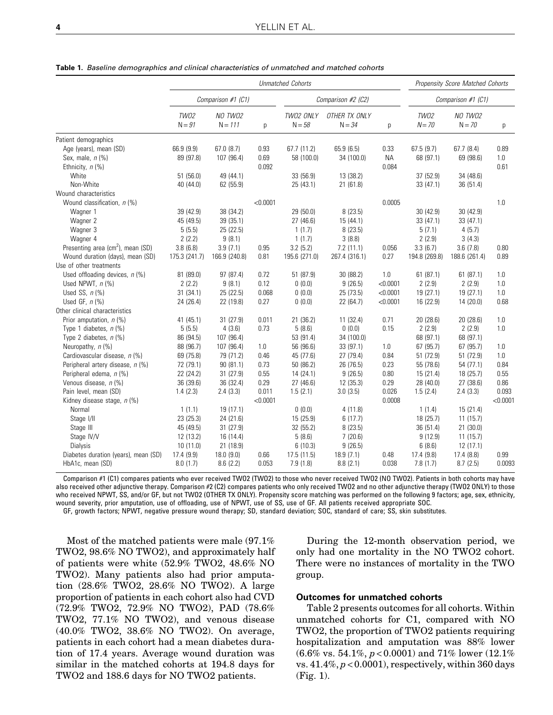|                                               | <b>Unmatched Cohorts</b> |                      |          |                       |                           |           | Propensity Score Matched Cohorts |                     |          |
|-----------------------------------------------|--------------------------|----------------------|----------|-----------------------|---------------------------|-----------|----------------------------------|---------------------|----------|
|                                               | Comparison #1 (C1)       |                      |          | Comparison #2 (C2)    |                           |           | Comparison #1 (C1)               |                     |          |
|                                               | <b>TW02</b><br>$N = 91$  | NO TWO2<br>$N = 111$ | р        | TW02 ONLY<br>$N = 58$ | OTHER TX ONLY<br>$N = 34$ | p         | TW02<br>$N = 70$                 | NO TWO2<br>$N = 70$ | р        |
| Patient demographics                          |                          |                      |          |                       |                           |           |                                  |                     |          |
| Age (years), mean (SD)                        | 66.9 (9.9)               | 67.0(8.7)            | 0.93     | 67.7 (11.2)           | 65.9 (6.5)                | 0.33      | 67.5(9.7)                        | 67.7(8.4)           | 0.89     |
| Sex, male, $n$ (%)                            | 89 (97.8)                | 107 (96.4)           | 0.69     | 58 (100.0)            | 34 (100.0)                | <b>NA</b> | 68 (97.1)                        | 69 (98.6)           | 1.0      |
| Ethnicity, n (%)                              |                          |                      | 0.092    |                       |                           | 0.084     |                                  |                     | 0.61     |
| White                                         | 51(56.0)                 | 49 (44.1)            |          | 33 (56.9)             | 13 (38.2)                 |           | 37 (52.9)                        | 34 (48.6)           |          |
| Non-White                                     | 40 (44.0)                | 62 (55.9)            |          | 25 (43.1)             | 21 (61.8)                 |           | 33 (47.1)                        | 36 (51.4)           |          |
| Wound characteristics                         |                          |                      |          |                       |                           |           |                                  |                     |          |
| Wound classification, $n$ (%)                 |                          |                      | < 0.0001 |                       |                           | 0.0005    |                                  |                     | 1.0      |
| Wagner 1                                      | 39 (42.9)                | 38 (34.2)            |          | 29 (50.0)             | 8(23.5)                   |           | 30 (42.9)                        | 30(42.9)            |          |
| Wagner 2                                      | 45 (49.5)                | 39 (35.1)            |          | 27 (46.6)             | 15 (44.1)                 |           | 33 (47.1)                        | 33 (47.1)           |          |
| Wagner 3                                      | 5(5.5)                   | 25 (22.5)            |          | 1(1.7)                | 8(23.5)                   |           | 5(7.1)                           | 4(5.7)              |          |
| Wagner 4                                      | 2(2.2)                   | 9(8.1)               |          | 1(1.7)                | 3(8.8)                    |           | 2(2.9)                           | 3(4.3)              |          |
| Presenting area (cm <sup>2</sup> ), mean (SD) | 3.8(6.8)                 | 3.9(7.1)             | 0.95     | 3.2(5.2)              | 7.2(11.1)                 | 0.056     | 3.3(6.7)                         | 3.6(7.8)            | 0.80     |
| Wound duration (days), mean (SD)              | 175.3 (241.7)            | 166.9 (240.8)        | 0.81     | 195.6 (271.0)         | 267.4 (316.1)             | 0.27      | 194.8 (269.8)                    | 188.6 (261.4)       | 0.89     |
| Use of other treatments                       |                          |                      |          |                       |                           |           |                                  |                     |          |
| Used offloading devices, $n$ (%)              | 81 (89.0)                | 97 (87.4)            | 0.72     | 51 (87.9)             | 30 (88.2)                 | 1.0       | 61(87.1)                         | 61(87.1)            | 1.0      |
| Used NPWT, $n$ (%)                            | 2(2.2)                   | 9(8.1)               | 0.12     | 0(0.0)                | 9(26.5)                   | < 0.0001  | 2(2.9)                           | 2(2.9)              | 1.0      |
| Used SS, $n$ (%)                              | 31(34.1)                 | 25 (22.5)            | 0.068    | 0(0.0)                | 25 (73.5)                 | < 0.0001  | 19 (27.1)                        | 19(27.1)            | 1.0      |
| Used GF, $n$ (%)                              | 24 (26.4)                | 22 (19.8)            | 0.27     | 0(0.0)                | 22 (64.7)                 | < 0.0001  | 16 (22.9)                        | 14 (20.0)           | 0.68     |
| Other clinical characteristics                |                          |                      |          |                       |                           |           |                                  |                     |          |
| Prior amputation, n (%)                       | 41 (45.1)                | 31 (27.9)            | 0.011    | 21 (36.2)             | 11(32.4)                  | 0.71      | 20 (28.6)                        | 20 (28.6)           | 1.0      |
| Type 1 diabetes, $n$ (%)                      | 5(5.5)                   | 4(3.6)               | 0.73     | 5(8.6)                | 0(0.0)                    | 0.15      | 2(2.9)                           | 2(2.9)              | 1.0      |
| Type 2 diabetes, $n$ (%)                      | 86 (94.5)                | 107 (96.4)           |          | 53 (91.4)             | 34 (100.0)                |           | 68 (97.1)                        | 68 (97.1)           |          |
| Neuropathy, n (%)                             | 88 (96.7)                | 107 (96.4)           | 1.0      | 56 (96.6)             | 33 (97.1)                 | 1.0       | 67 (95.7)                        | 67 (95.7)           | 1.0      |
| Cardiovascular disease, n (%)                 | 69 (75.8)                | 79 (71.2)            | 0.46     | 45 (77.6)             | 27 (79.4)                 | 0.84      | 51 (72.9)                        | 51 (72.9)           | 1.0      |
| Peripheral artery disease, n (%)              | 72 (79.1)                | 90(81.1)             | 0.73     | 50 (86.2)             | 26 (76.5)                 | 0.23      | 55 (78.6)                        | 54 (77.1)           | 0.84     |
| Peripheral edema, n (%)                       | 22 (24.2)                | 31 (27.9)            | 0.55     | 14 (24.1)             | 9(26.5)                   | 0.80      | 15 (21.4)                        | 18 (25.7)           | 0.55     |
| Venous disease, n (%)                         | 36 (39.6)                | 36 (32.4)            | 0.29     | 27(46.6)              | 12(35.3)                  | 0.29      | 28 (40.0)                        | 27(38.6)            | 0.86     |
| Pain level, mean (SD)                         | 1.4(2.3)                 | 2.4(3.3)             | 0.011    | 1.5(2.1)              | 3.0(3.5)                  | 0.026     | 1.5(2.4)                         | 2.4(3.3)            | 0.093    |
| Kidney disease stage, $n$ (%)                 |                          |                      | < 0.0001 |                       |                           | 0.0008    |                                  |                     | < 0.0001 |
| Normal                                        | 1(1.1)                   | 19 (17.1)            |          | 0(0.0)                | 4(11.8)                   |           | 1(1.4)                           | 15 (21.4)           |          |
| Stage I/II                                    | 23 (25.3)                | 24 (21.6)            |          | 15 (25.9)             | 6(17.7)                   |           | 18 (25.7)                        | 11(15.7)            |          |
| Stage III                                     | 45 (49.5)                | 31 (27.9)            |          | 32 (55.2)             | 8(23.5)                   |           | 36 (51.4)                        | 21 (30.0)           |          |
| Stage IV/V                                    | 12 (13.2)                | 16 (14.4)            |          | 5(8.6)                | 7(20.6)                   |           | 9(12.9)                          | 11(15.7)            |          |
| Dialysis                                      | 10 (11.0)                | 21 (18.9)            |          | 6(10.3)               | 9(26.5)                   |           | 6(8.6)                           | 12(17.1)            |          |
| Diabetes duration (years), mean (SD)          | 17.4 (9.9)               | 18.0(9.0)            | 0.66     | 17.5(11.5)            | 18.9(7.1)                 | 0.48      | 17.4 (9.8)                       | 17.4(8.8)           | 0.99     |
| HbA1c, mean (SD)                              | 8.0(1.7)                 | 8.6(2.2)             | 0.053    | 7.9(1.8)              | 8.8(2.1)                  | 0.038     | 7.8(1.7)                         | 8.7(2.5)            | 0.0093   |

**Table 1.** Baseline demographics and clinical characteristics of unmatched and matched cohorts

Comparison #1 (C1) compares patients who ever received TWO2 (TWO2) to those who never received TWO2 (NO TWO2). Patients in both cohorts may have also received other adjunctive therapy. Comparison #2 (C2) compares patients who only received TWO2 and no other adjunctive therapy (TWO2 ONLY) to those who received NPWT, SS, and/or GF, but not TWO2 (OTHER TX ONLY). Propensity score matching was performed on the following 9 factors; age, sex, ethnicity, wound severity, prior amputation, use of offloading, use of NPWT, use of SS, use of GF. All patients received appropriate SOC.

GF, growth factors; NPWT, negative pressure wound therapy; SD, standard deviation; SOC, standard of care; SS, skin substitutes.

Most of the matched patients were male (97.1% TWO2, 98.6% NO TWO2), and approximately half of patients were white (52.9% TWO2, 48.6% NO TWO2). Many patients also had prior amputation (28.6% TWO2, 28.6% NO TWO2). A large proportion of patients in each cohort also had CVD (72.9% TWO2, 72.9% NO TWO2), PAD (78.6% TWO2, 77.1% NO TWO2), and venous disease (40.0% TWO2, 38.6% NO TWO2). On average, patients in each cohort had a mean diabetes duration of 17.4 years. Average wound duration was similar in the matched cohorts at 194.8 days for TWO2 and 188.6 days for NO TWO2 patients.

During the 12-month observation period, we only had one mortality in the NO TWO2 cohort. There were no instances of mortality in the TWO group.

#### Outcomes for unmatched cohorts

Table 2 presents outcomes for all cohorts. Within unmatched cohorts for C1, compared with NO TWO2, the proportion of TWO2 patients requiring hospitalization and amputation was 88% lower  $(6.6\% \text{ vs. } 54.1\%, p < 0.0001)$  and  $71\%$  lower  $(12.1\%$ vs.  $41.4\%, p < 0.0001$ , respectively, within 360 days (Fig. 1).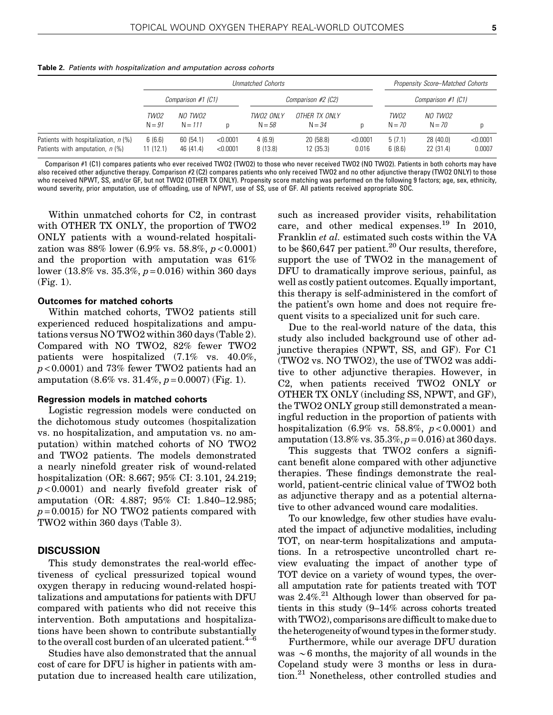|                                                                           |                    | <b>Unmatched Cohorts</b> |                      |                       |                           |                   |                  | Propensity Score–Matched Cohorts |                    |  |
|---------------------------------------------------------------------------|--------------------|--------------------------|----------------------|-----------------------|---------------------------|-------------------|------------------|----------------------------------|--------------------|--|
|                                                                           |                    | Comparison #1 (C1)       |                      |                       | Comparison #2 (C2)        |                   |                  | Comparison #1 (C1)               |                    |  |
|                                                                           | TW02<br>$N = 91$   | NO TWO2<br>$N = 111$     |                      | TW02 ONLY<br>$N = 58$ | OTHER TX ONLY<br>$N = 34$ | D                 | TW02<br>$N = 70$ | NO TWO2<br>$N = 70$              | D                  |  |
| Patients with hospitalization, n (%)<br>Patients with amputation, $n$ (%) | 6(6.6)<br>11(12.1) | 60(54.1)<br>46 (41.4)    | < 0.0001<br>< 0.0001 | 4(6.9)<br>8(13.8)     | 20(58.8)<br>12(35.3)      | < 0.0001<br>0.016 | 5(7.1)<br>6(8.6) | 28 (40.0)<br>22 (31.4)           | < 0.0001<br>0.0007 |  |

**Table 2.** Patients with hospitalization and amputation across cohorts

Comparison #1 (C1) compares patients who ever received TWO2 (TWO2) to those who never received TWO2 (NO TWO2). Patients in both cohorts may have also received other adjunctive therapy. Comparison #2 (C2) compares patients who only received TWO2 and no other adjunctive therapy (TWO2 ONLY) to those who received NPWT, SS, and/or GF, but not TWO2 (OTHER TX ONLY). Propensity score matching was performed on the following 9 factors; age, sex, ethnicity, wound severity, prior amputation, use of offloading, use of NPWT, use of SS, use of GF. All patients received appropriate SOC.

Within unmatched cohorts for C2, in contrast with OTHER TX ONLY, the proportion of TWO2 ONLY patients with a wound-related hospitalization was  $88\%$  lower (6.9% vs. 58.8%,  $p < 0.0001$ ) and the proportion with amputation was 61% lower (13.8% vs. 35.3%,  $p = 0.016$ ) within 360 days (Fig. 1).

#### Outcomes for matched cohorts

Within matched cohorts, TWO2 patients still experienced reduced hospitalizations and amputations versus NO TWO2 within 360 days (Table 2). Compared with NO TWO2, 82% fewer TWO2 patients were hospitalized (7.1% vs. 40.0%, p < 0.0001) and 73% fewer TWO2 patients had an amputation  $(8.6\% \text{ vs. } 31.4\%, p=0.0007)$  (Fig. 1).

#### Regression models in matched cohorts

Logistic regression models were conducted on the dichotomous study outcomes (hospitalization vs. no hospitalization, and amputation vs. no amputation) within matched cohorts of NO TWO2 and TWO2 patients. The models demonstrated a nearly ninefold greater risk of wound-related hospitalization (OR: 8.667; 95% CI: 3.101, 24.219;  $p < 0.0001$ ) and nearly fivefold greater risk of amputation (OR: 4.887; 95% CI: 1.840–12.985;  $p = 0.0015$ ) for NO TWO2 patients compared with TWO2 within 360 days (Table 3).

## **DISCUSSION**

This study demonstrates the real-world effectiveness of cyclical pressurized topical wound oxygen therapy in reducing wound-related hospitalizations and amputations for patients with DFU compared with patients who did not receive this intervention. Both amputations and hospitalizations have been shown to contribute substantially to the overall cost burden of an ulcerated patient. $4-6$ 

Studies have also demonstrated that the annual cost of care for DFU is higher in patients with amputation due to increased health care utilization,

such as increased provider visits, rehabilitation care, and other medical expenses.<sup>19</sup> In 2010, Franklin et al. estimated such costs within the VA to be  $$60,647$  per patient.<sup>20</sup> Our results, therefore, support the use of TWO2 in the management of DFU to dramatically improve serious, painful, as well as costly patient outcomes. Equally important, this therapy is self-administered in the comfort of the patient's own home and does not require frequent visits to a specialized unit for such care.

Due to the real-world nature of the data, this study also included background use of other adjunctive therapies (NPWT, SS, and GF). For C1 (TWO2 vs. NO TWO2), the use of TWO2 was additive to other adjunctive therapies. However, in C2, when patients received TWO2 ONLY or OTHER TX ONLY (including SS, NPWT, and GF), the TWO2 ONLY group still demonstrated a meaningful reduction in the proportion of patients with hospitalization  $(6.9\% \text{ vs. } 58.8\%, p < 0.0001)$  and amputation  $(13.8\% \text{ vs. } 35.3\%, p=0.016)$  at 360 days.

This suggests that TWO2 confers a significant benefit alone compared with other adjunctive therapies. These findings demonstrate the realworld, patient-centric clinical value of TWO2 both as adjunctive therapy and as a potential alternative to other advanced wound care modalities.

To our knowledge, few other studies have evaluated the impact of adjunctive modalities, including TOT, on near-term hospitalizations and amputations. In a retrospective uncontrolled chart review evaluating the impact of another type of TOT device on a variety of wound types, the overall amputation rate for patients treated with TOT was 2.4%.<sup>21</sup> Although lower than observed for patients in this study (9–14% across cohorts treated with TWO2), comparisons are difficult tomake due to the heterogeneity of wound types in the former study.

Furthermore, while our average DFU duration was  $\sim$ 6 months, the majority of all wounds in the Copeland study were 3 months or less in duration.21 Nonetheless, other controlled studies and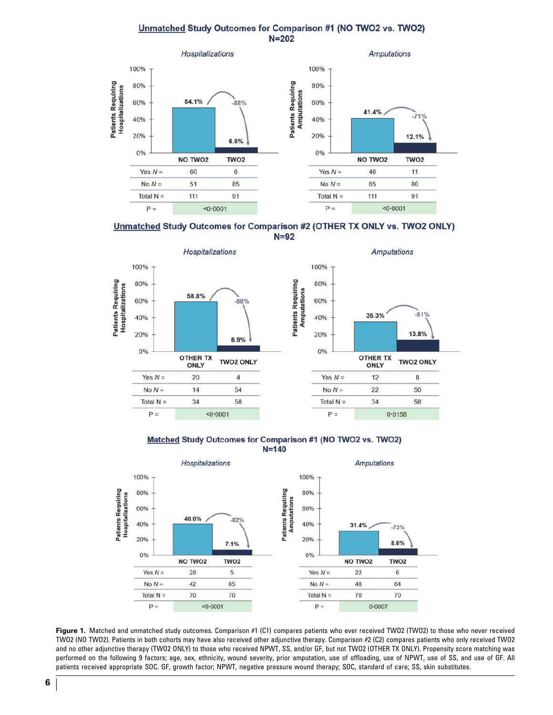# Unmatched Study Outcomes for Comparison #1 (NO TWO2 vs. TWO2)  $N = 202$







Matched Study Outcomes for Comparison #1 (NO TWO2 vs. TWO2)  $N = 140$ 



Figure 1. Matched and unmatched study outcomes. Comparison #1 (C1) compares patients who ever received TWO2 (TWO2) to those who never received TWO2 (NO TWO2). Patients in both cohorts may have also received other adjunctive therapy. Comparison #2 (C2) compares patients who only received TWO2 and no other adjunctive therapy (TWO2 ONLY) to those who received NPWT, SS, and/or GF, but not TWO2 (OTHER TX ONLY). Propensity score matching was performed on the following 9 factors; age, sex, ethnicity, wound severity, prior amputation, use of offloading, use of NPWT, use of SS, and use of GF. All patients received appropriate SOC. GF, growth factor; NPWT, negative pressure wound therapy; SOC, standard of care; SS, skin substitutes.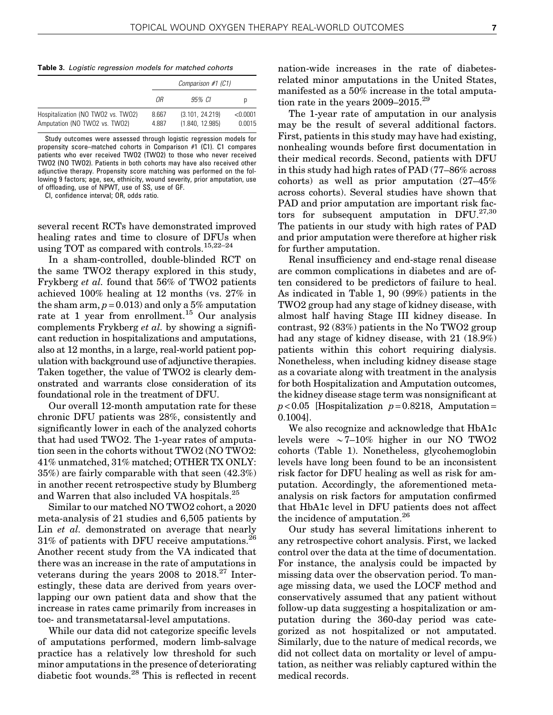**Table 3.** Logistic regression models for matched cohorts

|                                                                     |                | Comparison #1 (C1)                 |                    |  |  |  |  |
|---------------------------------------------------------------------|----------------|------------------------------------|--------------------|--|--|--|--|
|                                                                     | ΩR             | 95% CI                             | p                  |  |  |  |  |
| Hospitalization (NO TWO2 vs. TWO2)<br>Amputation (NO TWO2 vs. TWO2) | 8.667<br>4.887 | (3.101, 24.219)<br>(1.840, 12.985) | < 0.0001<br>0.0015 |  |  |  |  |

Study outcomes were assessed through logistic regression models for propensity score–matched cohorts in Comparison #1 (C1). C1 compares patients who ever received TWO2 (TWO2) to those who never received TWO2 (NO TWO2). Patients in both cohorts may have also received other adjunctive therapy. Propensity score matching was performed on the following 9 factors; age, sex, ethnicity, wound severity, prior amputation, use of offloading, use of NPWT, use of SS, use of GF.

CI, confidence interval; OR, odds ratio.

several recent RCTs have demonstrated improved healing rates and time to closure of DFUs when using TOT as compared with controls.<sup>15,22–24</sup>

In a sham-controlled, double-blinded RCT on the same TWO2 therapy explored in this study, Frykberg et al. found that 56% of TWO2 patients achieved 100% healing at 12 months (vs. 27% in the sham arm,  $p = 0.013$  and only a 5% amputation rate at 1 year from enrollment.<sup>15</sup> Our analysis complements Frykberg et al. by showing a significant reduction in hospitalizations and amputations, also at 12 months, in a large, real-world patient population with background use of adjunctive therapies. Taken together, the value of TWO2 is clearly demonstrated and warrants close consideration of its foundational role in the treatment of DFU.

Our overall 12-month amputation rate for these chronic DFU patients was 28%, consistently and significantly lower in each of the analyzed cohorts that had used TWO2. The 1-year rates of amputation seen in the cohorts without TWO2 (NO TWO2: 41% unmatched, 31% matched; OTHER TX ONLY: 35%) are fairly comparable with that seen (42.3%) in another recent retrospective study by Blumberg and Warren that also included VA hospitals.<sup>25</sup>

Similar to our matched NO TWO2 cohort, a 2020 meta-analysis of 21 studies and 6,505 patients by Lin *et al.* demonstrated on average that nearly 31% of patients with DFU receive amputations.26 Another recent study from the VA indicated that there was an increase in the rate of amputations in veterans during the years  $2008$  to  $2018.<sup>27</sup>$  Interestingly, these data are derived from years overlapping our own patient data and show that the increase in rates came primarily from increases in toe- and transmetatarsal-level amputations.

While our data did not categorize specific levels of amputations performed, modern limb-salvage practice has a relatively low threshold for such minor amputations in the presence of deteriorating diabetic foot wounds.<sup>28</sup> This is reflected in recent

nation-wide increases in the rate of diabetesrelated minor amputations in the United States, manifested as a 50% increase in the total amputation rate in the years  $2009-2015.^{29}$ 

The 1-year rate of amputation in our analysis may be the result of several additional factors. First, patients in this study may have had existing, nonhealing wounds before first documentation in their medical records. Second, patients with DFU in this study had high rates of PAD (77–86% across cohorts) as well as prior amputation (27–45% across cohorts). Several studies have shown that PAD and prior amputation are important risk factors for subsequent amputation in  $DFU.<sup>27,30</sup>$ The patients in our study with high rates of PAD and prior amputation were therefore at higher risk for further amputation.

Renal insufficiency and end-stage renal disease are common complications in diabetes and are often considered to be predictors of failure to heal. As indicated in Table 1, 90 (99%) patients in the TWO2 group had any stage of kidney disease, with almost half having Stage III kidney disease. In contrast, 92 (83%) patients in the No TWO2 group had any stage of kidney disease, with 21 (18.9%) patients within this cohort requiring dialysis. Nonetheless, when including kidney disease stage as a covariate along with treatment in the analysis for both Hospitalization and Amputation outcomes, the kidney disease stage term was nonsignificant at  $p < 0.05$  [Hospitalization  $p = 0.8218$ , Amputation = 0.1004].

We also recognize and acknowledge that HbA1c levels were  $\sim$ 7–10% higher in our NO TWO2 cohorts (Table 1). Nonetheless, glycohemoglobin levels have long been found to be an inconsistent risk factor for DFU healing as well as risk for amputation. Accordingly, the aforementioned metaanalysis on risk factors for amputation confirmed that HbA1c level in DFU patients does not affect the incidence of amputation.<sup>26</sup>

Our study has several limitations inherent to any retrospective cohort analysis. First, we lacked control over the data at the time of documentation. For instance, the analysis could be impacted by missing data over the observation period. To manage missing data, we used the LOCF method and conservatively assumed that any patient without follow-up data suggesting a hospitalization or amputation during the 360-day period was categorized as not hospitalized or not amputated. Similarly, due to the nature of medical records, we did not collect data on mortality or level of amputation, as neither was reliably captured within the medical records.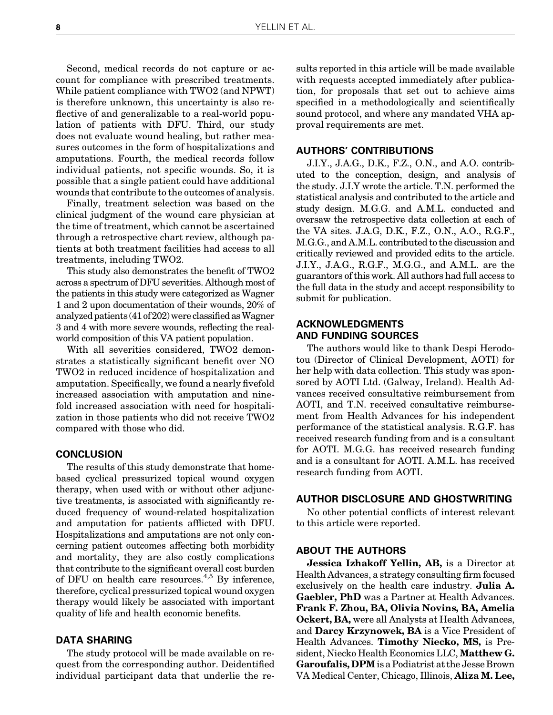Second, medical records do not capture or account for compliance with prescribed treatments. While patient compliance with TWO2 (and NPWT) is therefore unknown, this uncertainty is also reflective of and generalizable to a real-world population of patients with DFU. Third, our study does not evaluate wound healing, but rather measures outcomes in the form of hospitalizations and amputations. Fourth, the medical records follow individual patients, not specific wounds. So, it is possible that a single patient could have additional wounds that contribute to the outcomes of analysis.

Finally, treatment selection was based on the clinical judgment of the wound care physician at the time of treatment, which cannot be ascertained through a retrospective chart review, although patients at both treatment facilities had access to all treatments, including TWO2.

This study also demonstrates the benefit of TWO2 across a spectrum of DFU severities. Although most of the patients in this study were categorized as Wagner 1 and 2 upon documentation of their wounds, 20% of analyzed patients  $(41 of 202)$  were classified as Wagner 3 and 4 with more severe wounds, reflecting the realworld composition of this VA patient population.

With all severities considered, TWO2 demonstrates a statistically significant benefit over NO TWO2 in reduced incidence of hospitalization and amputation. Specifically, we found a nearly fivefold increased association with amputation and ninefold increased association with need for hospitalization in those patients who did not receive TWO2 compared with those who did.

# **CONCLUSION**

The results of this study demonstrate that homebased cyclical pressurized topical wound oxygen therapy, when used with or without other adjunctive treatments, is associated with significantly reduced frequency of wound-related hospitalization and amputation for patients afflicted with DFU. Hospitalizations and amputations are not only concerning patient outcomes affecting both morbidity and mortality, they are also costly complications that contribute to the significant overall cost burden of DFU on health care resources.4,5 By inference, therefore, cyclical pressurized topical wound oxygen therapy would likely be associated with important quality of life and health economic benefits.

# DATA SHARING

The study protocol will be made available on request from the corresponding author. Deidentified individual participant data that underlie the re-

sults reported in this article will be made available with requests accepted immediately after publication, for proposals that set out to achieve aims specified in a methodologically and scientifically sound protocol, and where any mandated VHA approval requirements are met.

# AUTHORS' CONTRIBUTIONS

J.I.Y., J.A.G., D.K., F.Z., O.N., and A.O. contributed to the conception, design, and analysis of the study. J.I.Y wrote the article. T.N. performed the statistical analysis and contributed to the article and study design. M.G.G. and A.M.L. conducted and oversaw the retrospective data collection at each of the VA sites. J.A.G, D.K., F.Z., O.N., A.O., R.G.F., M.G.G., and A.M.L. contributed to the discussion and critically reviewed and provided edits to the article. J.I.Y., J.A.G., R.G.F., M.G.G., and A.M.L. are the guarantors of this work. All authors had full access to the full data in the study and accept responsibility to submit for publication.

# ACKNOWLEDGMENTS AND FUNDING SOURCES

The authors would like to thank Despi Herodotou (Director of Clinical Development, AOTI) for her help with data collection. This study was sponsored by AOTI Ltd. (Galway, Ireland). Health Advances received consultative reimbursement from AOTI, and T.N. received consultative reimbursement from Health Advances for his independent performance of the statistical analysis. R.G.F. has received research funding from and is a consultant for AOTI. M.G.G. has received research funding and is a consultant for AOTI. A.M.L. has received research funding from AOTI.

## AUTHOR DISCLOSURE AND GHOSTWRITING

No other potential conflicts of interest relevant to this article were reported.

# ABOUT THE AUTHORS

Jessica Izhakoff Yellin, AB, is a Director at Health Advances, a strategy consulting firm focused exclusively on the health care industry. **Julia A.** Gaebler, PhD was a Partner at Health Advances. Frank F. Zhou, BA, Olivia Novins, BA, Amelia Ockert, BA, were all Analysts at Health Advances, and Darcy Krzynowek, BA is a Vice President of Health Advances. Timothy Niecko, MS, is President, Niecko Health Economics LLC, Matthew G. Garoufalis, DPMis a Podiatrist at the Jesse Brown VA Medical Center, Chicago, Illinois, Aliza M. Lee,